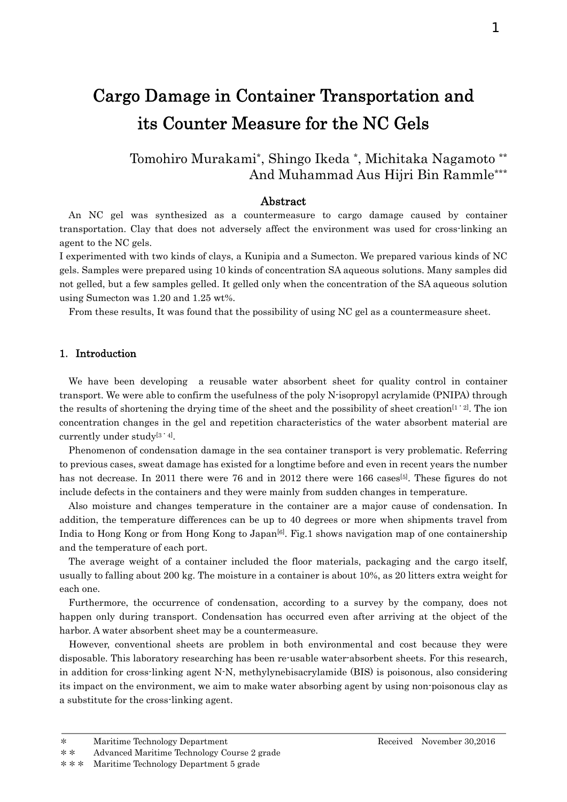# Cargo Damage in Container Transportation and its Counter Measure for the NC Gels

# Tomohiro Murakami\*, Shingo Ikeda \*, Michitaka Nagamoto \*\* And Muhammad Aus Hijri Bin Rammle\*\*\*

# Abstract

An NC gel was synthesized as a countermeasure to cargo damage caused by container transportation. Clay that does not adversely affect the environment was used for cross-linking an agent to the NC gels.

I experimented with two kinds of clays, a Kunipia and a Sumecton. We prepared various kinds of NC gels. Samples were prepared using 10 kinds of concentration SA aqueous solutions. Many samples did not gelled, but a few samples gelled. It gelled only when the concentration of the SA aqueous solution using Sumecton was 1.20 and 1.25 wt%.

From these results, It was found that the possibility of using NC gel as a countermeasure sheet.

## 1.Introduction

We have been developing a reusable water absorbent sheet for quality control in container transport. We were able to confirm the usefulness of the poly N-isopropyl acrylamide (PNIPA) through the results of shortening the drying time of the sheet and the possibility of sheet creation<sup>[1・2]</sup>. The ion concentration changes in the gel and repetition characteristics of the water absorbent material are currently under study<sup>[3 · 4]</sup>.

Phenomenon of condensation damage in the sea container transport is very problematic. Referring to previous cases, sweat damage has existed for a longtime before and even in recent years the number has not decrease. In 2011 there were 76 and in 2012 there were 166 cases<sup>[5]</sup>. These figures do not include defects in the containers and they were mainly from sudden changes in temperature.

Also moisture and changes temperature in the container are a major cause of condensation. In addition, the temperature differences can be up to 40 degrees or more when shipments travel from India to Hong Kong or from Hong Kong to Japan<sup>[6]</sup>. Fig.1 shows navigation map of one containership and the temperature of each port.

The average weight of a container included the floor materials, packaging and the cargo itself, usually to falling about 200 kg. The moisture in a container is about 10%, as 20 litters extra weight for each one.

Furthermore, the occurrence of condensation, according to a survey by the company, does not happen only during transport. Condensation has occurred even after arriving at the object of the harbor. A water absorbent sheet may be a countermeasure.

However, conventional sheets are problem in both environmental and cost because they were disposable. This laboratory researching has been re-usable water-absorbent sheets. For this research, in addition for cross-linking agent N-N, methylynebisacrylamide (BIS) is poisonous, also considering its impact on the environment, we aim to make water absorbing agent by using non-poisonous clay as a substitute for the cross-linking agent.

<sup>\*\*\*</sup> Maritime Technology Department 5 grade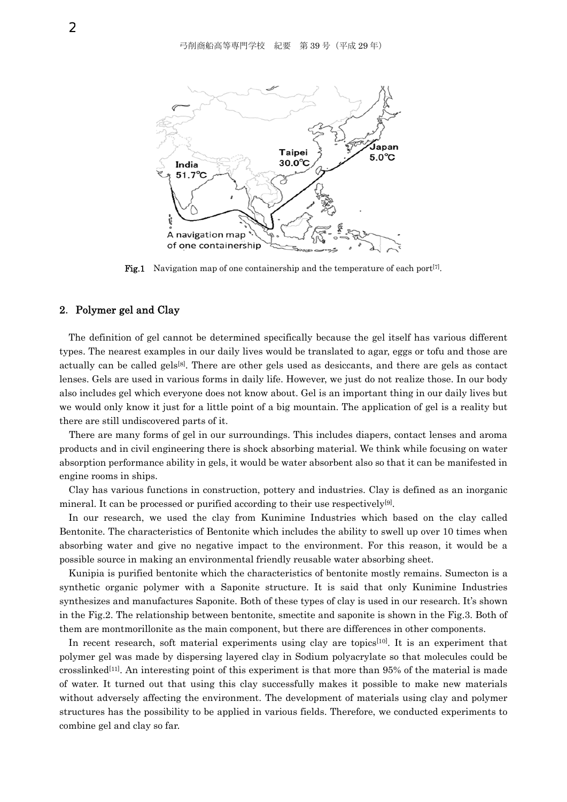

**Fig.1** Navigation map of one containership and the temperature of each port<sup>[7]</sup>.

#### 2.Polymer gel and Clay

The definition of gel cannot be determined specifically because the gel itself has various different types. The nearest examples in our daily lives would be translated to agar, eggs or tofu and those are actually can be called gels<sup>[8]</sup>. There are other gels used as desiccants, and there are gels as contact lenses. Gels are used in various forms in daily life. However, we just do not realize those. In our body also includes gel which everyone does not know about. Gel is an important thing in our daily lives but we would only know it just for a little point of a big mountain. The application of gel is a reality but there are still undiscovered parts of it.

There are many forms of gel in our surroundings. This includes diapers, contact lenses and aroma products and in civil engineering there is shock absorbing material. We think while focusing on water absorption performance ability in gels, it would be water absorbent also so that it can be manifested in engine rooms in ships.

Clay has various functions in construction, pottery and industries. Clay is defined as an inorganic mineral. It can be processed or purified according to their use respectively<sup>[9]</sup>.

In our research, we used the clay from Kunimine Industries which based on the clay called Bentonite. The characteristics of Bentonite which includes the ability to swell up over 10 times when absorbing water and give no negative impact to the environment. For this reason, it would be a possible source in making an environmental friendly reusable water absorbing sheet.

Kunipia is purified bentonite which the characteristics of bentonite mostly remains. Sumecton is a synthetic organic polymer with a Saponite structure. It is said that only Kunimine Industries synthesizes and manufactures Saponite. Both of these types of clay is used in our research. It's shown in the Fig.2. The relationship between bentonite, smectite and saponite is shown in the Fig.3. Both of them are montmorillonite as the main component, but there are differences in other components.

In recent research, soft material experiments using clay are topics<sup>[10]</sup>. It is an experiment that polymer gel was made by dispersing layered clay in Sodium polyacrylate so that molecules could be crosslinked<sup>[11]</sup>. An interesting point of this experiment is that more than  $95\%$  of the material is made of water. It turned out that using this clay successfully makes it possible to make new materials without adversely affecting the environment. The development of materials using clay and polymer structures has the possibility to be applied in various fields. Therefore, we conducted experiments to combine gel and clay so far.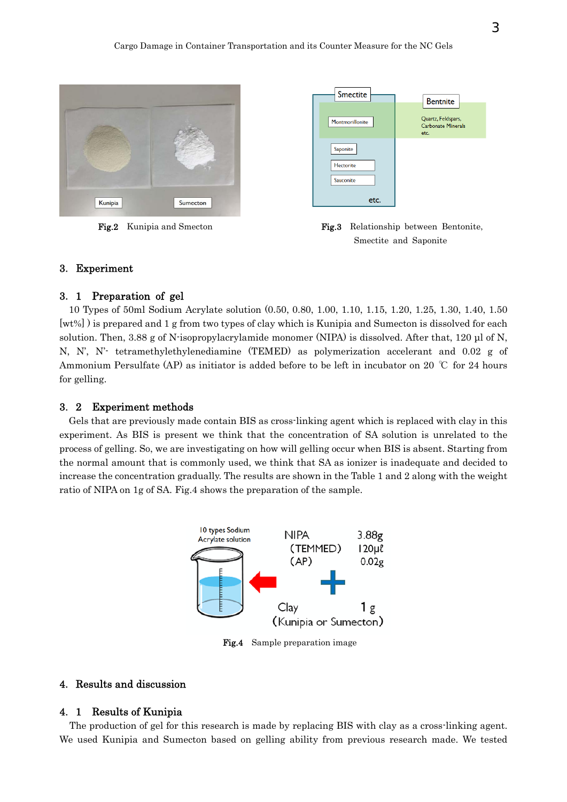

| <b>Smectite</b>  | <b>Bentnite</b>                                         |
|------------------|---------------------------------------------------------|
| Montmorillonite  | Quartz, Feldspars,<br><b>Carbonate Minerals</b><br>etc. |
| Saponite         |                                                         |
| <b>Hectorite</b> |                                                         |
| Sauconite        |                                                         |
| etc.             |                                                         |

Fig.2 Kunipia and Smecton Fig.3 Relationship between Bentonite, Smectite and Saponite

# 3.Experiment

# 3.1 Preparation of gel

10 Types of 50ml Sodium Acrylate solution (0.50, 0.80, 1.00, 1.10, 1.15, 1.20, 1.25, 1.30, 1.40, 1.50 [wt%] ) is prepared and 1 g from two types of clay which is Kunipia and Sumecton is dissolved for each solution. Then, 3.88 g of N-isopropylacrylamide monomer (NIPA) is dissolved. After that, 120 μl of N, N, N', N'- tetramethylethylenediamine (TEMED) as polymerization accelerant and 0.02 g of Ammonium Persulfate (AP) as initiator is added before to be left in incubator on 20 ℃ for 24 hours for gelling.

#### 3.2 Experiment methods

Gels that are previously made contain BIS as cross-linking agent which is replaced with clay in this experiment. As BIS is present we think that the concentration of SA solution is unrelated to the process of gelling. So, we are investigating on how will gelling occur when BIS is absent. Starting from the normal amount that is commonly used, we think that SA as ionizer is inadequate and decided to increase the concentration gradually. The results are shown in the Table 1 and 2 along with the weight ratio of NIPA on 1g of SA. Fig.4 shows the preparation of the sample.



Fig.4 Sample preparation image

# 4.Results and discussion

## 4.1 Results of Kunipia

 The production of gel for this research is made by replacing BIS with clay as a cross-linking agent. We used Kunipia and Sumecton based on gelling ability from previous research made. We tested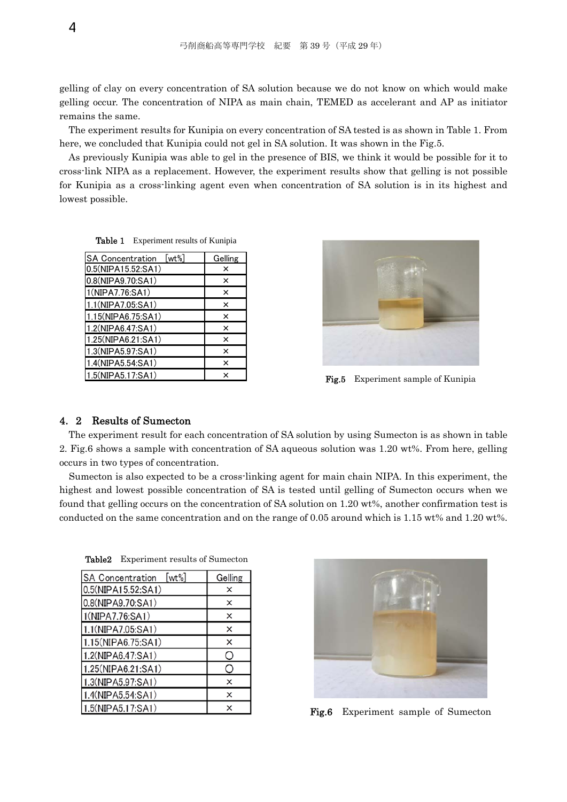gelling of clay on every concentration of SA solution because we do not know on which would make gelling occur. The concentration of NIPA as main chain, TEMED as accelerant and AP as initiator remains the same.

The experiment results for Kunipia on every concentration of SA tested is as shown in Table 1. From here, we concluded that Kunipia could not gel in SA solution. It was shown in the Fig.5.

As previously Kunipia was able to gel in the presence of BIS, we think it would be possible for it to cross-link NIPA as a replacement. However, the experiment results show that gelling is not possible for Kunipia as a cross-linking agent even when concentration of SA solution is in its highest and lowest possible.

Table 1 Experiment results of Kunipia

| [wt%]<br><b>SA Concentration</b> | Gelling  |
|----------------------------------|----------|
| 0.5(NIPA15.52:SA1)               | ×        |
| 0.8(NIPA9.70:SA1)                | ×        |
| 1(NIPA7.76:SA1)                  | ×        |
| 1.1(NIPA7.05:SA1)                | ×        |
| 1.15(NIPA6.75:SA1)               | ×        |
| 1.2(NIPA6.47:SA1)                | ×        |
| 1.25(NIPA6.21:SA1)               | $\times$ |
| 1.3(NIPA5.97:SA1)                | ×        |
| 1.4(NIPA5.54:SA1)                | ×        |
| 1.5(NIPA5.17:SA1)                | ×        |



Fig.5 Experiment sample of Kunipia

#### 4.2 Results of Sumecton

The experiment result for each concentration of SA solution by using Sumecton is as shown in table 2. Fig.6 shows a sample with concentration of SA aqueous solution was 1.20 wt%. From here, gelling occurs in two types of concentration.

Sumecton is also expected to be a cross-linking agent for main chain NIPA. In this experiment, the highest and lowest possible concentration of SA is tested until gelling of Sumecton occurs when we found that gelling occurs on the concentration of SA solution on 1.20 wt%, another confirmation test is conducted on the same concentration and on the range of 0.05 around which is 1.15 wt% and 1.20 wt%.

| <b>SA Concentration</b><br>$[wt\%]$ | Gelling |
|-------------------------------------|---------|
| 0.5(NIPA15.52:SA1)                  | ×       |
| 0.8(NIPA9.70:SA1)                   | ×       |
| 1(NIPA7.76:SA1)                     | ×       |
| 1.1(NIPA7.05:SA1)                   | ×       |
| 1.15(NIPA6.75:SA1)                  | ×       |
| 1.2(NIPA6.47:SA1)                   | ∩       |
| 1.25(NIPA6.21:SA1)                  | O       |
| 1.3(NIPA5.97:SA1)                   | ×       |
| 1.4(NIPA5.54:SA1)                   | ×       |
| 1.5(NIPA5.17:SA1)                   | ×       |

Table2 Experiment results of Sumecton



Fig.6 Experiment sample of Sumecton